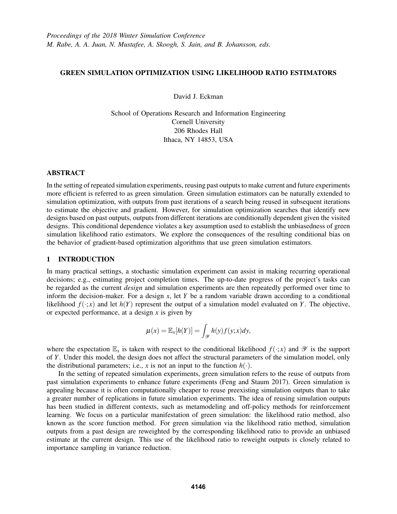# GREEN SIMULATION OPTIMIZATION USING LIKELIHOOD RATIO ESTIMATORS

David J. Eckman

School of Operations Research and Information Engineering Cornell University 206 Rhodes Hall Ithaca, NY 14853, USA

## ABSTRACT

In the setting of repeated simulation experiments, reusing past outputs to make current and future experiments more efficient is referred to as green simulation. Green simulation estimators can be naturally extended to simulation optimization, with outputs from past iterations of a search being reused in subsequent iterations to estimate the objective and gradient. However, for simulation optimization searches that identify new designs based on past outputs, outputs from different iterations are conditionally dependent given the visited designs. This conditional dependence violates a key assumption used to establish the unbiasedness of green simulation likelihood ratio estimators. We explore the consequences of the resulting conditional bias on the behavior of gradient-based optimization algorithms that use green simulation estimators.

## 1 INTRODUCTION

In many practical settings, a stochastic simulation experiment can assist in making recurring operational decisions; e.g., estimating project completion times. The up-to-date progress of the project's tasks can be regarded as the current *design* and simulation experiments are then repeatedly performed over time to inform the decision-maker. For a design *x*, let *Y* be a random variable drawn according to a conditional likelihood  $f(\cdot; x)$  and let  $h(Y)$  represent the output of a simulation model evaluated on *Y*. The objective, or expected performance, at a design *x* is given by

$$
\mu(x) = \mathbb{E}_x[h(Y)] = \int_{\mathcal{Y}} h(y)f(y; x)dy,
$$

where the expectation  $\mathbb{E}_x$  is taken with respect to the conditional likelihood  $f(\cdot; x)$  and  $\mathscr Y$  is the support of *Y*. Under this model, the design does not affect the structural parameters of the simulation model, only the distributional parameters; i.e., *x* is not an input to the function  $h(.)$ .

In the setting of repeated simulation experiments, green simulation refers to the reuse of outputs from past simulation experiments to enhance future experiments (Feng and Staum 2017). Green simulation is appealing because it is often computationally cheaper to reuse preexisting simulation outputs than to take a greater number of replications in future simulation experiments. The idea of reusing simulation outputs has been studied in different contexts, such as metamodeling and off-policy methods for reinforcement learning. We focus on a particular manifestation of green simulation: the likelihood ratio method, also known as the score function method. For green simulation via the likelihood ratio method, simulation outputs from a past design are reweighted by the corresponding likelihood ratio to provide an unbiased estimate at the current design. This use of the likelihood ratio to reweight outputs is closely related to importance sampling in variance reduction.